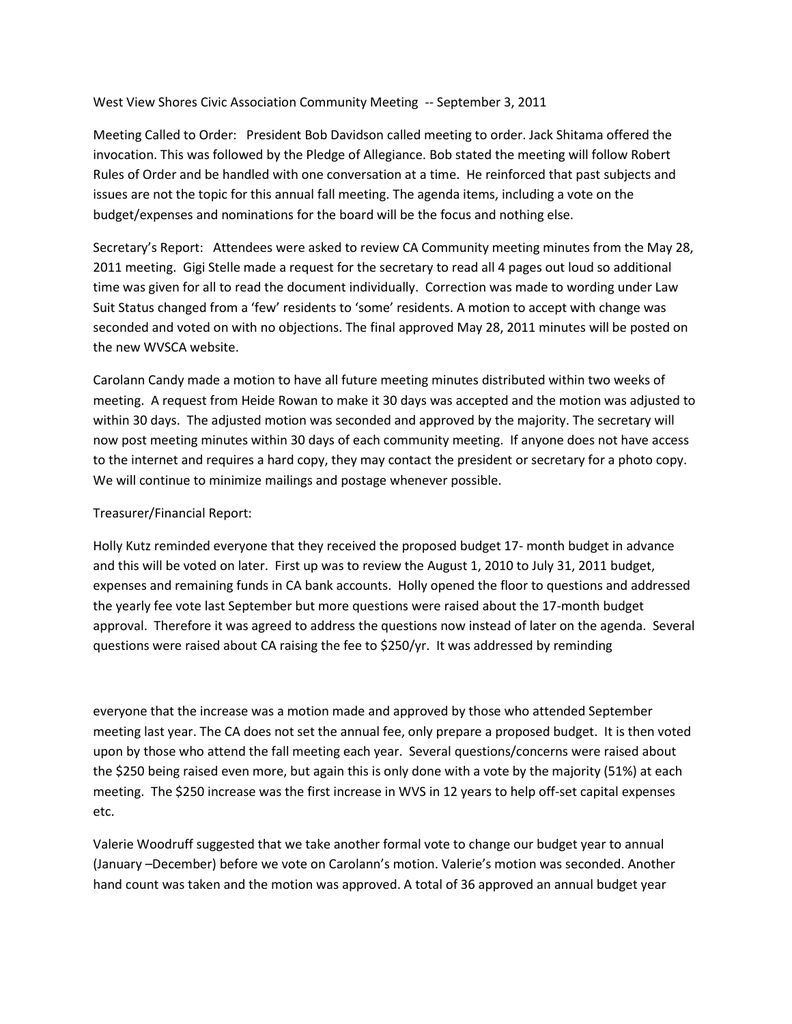West View Shores Civic Association Community Meeting -- September 3, 2011

Meeting Called to Order: President Bob Davidson called meeting to order. Jack Shitama offered the invocation. This was followed by the Pledge of Allegiance. Bob stated the meeting will follow Robert Rules of Order and be handled with one conversation at a time. He reinforced that past subjects and issues are not the topic for this annual fall meeting. The agenda items, including a vote on the budget/expenses and nominations for the board will be the focus and nothing else.

Secretary's Report: Attendees were asked to review CA Community meeting minutes from the May 28, 2011 meeting. Gigi Stelle made a request for the secretary to read all 4 pages out loud so additional time was given for all to read the document individually. Correction was made to wording under Law Suit Status changed from a 'few' residents to 'some' residents. A motion to accept with change was seconded and voted on with no objections. The final approved May 28, 2011 minutes will be posted on the new WVSCA website.

Carolann Candy made a motion to have all future meeting minutes distributed within two weeks of meeting. A request from Heide Rowan to make it 30 days was accepted and the motion was adjusted to within 30 days. The adjusted motion was seconded and approved by the majority. The secretary will now post meeting minutes within 30 days of each community meeting. If anyone does not have access to the internet and requires a hard copy, they may contact the president or secretary for a photo copy. We will continue to minimize mailings and postage whenever possible.

Treasurer/Financial Report:

Holly Kutz reminded everyone that they received the proposed budget 17- month budget in advance and this will be voted on later. First up was to review the August 1, 2010 to July 31, 2011 budget, expenses and remaining funds in CA bank accounts. Holly opened the floor to questions and addressed the yearly fee vote last September but more questions were raised about the 17-month budget approval. Therefore it was agreed to address the questions now instead of later on the agenda. Several questions were raised about CA raising the fee to \$250/yr. It was addressed by reminding

everyone that the increase was a motion made and approved by those who attended September meeting last year. The CA does not set the annual fee, only prepare a proposed budget. It is then voted upon by those who attend the fall meeting each year. Several questions/concerns were raised about the \$250 being raised even more, but again this is only done with a vote by the majority (51%) at each meeting. The \$250 increase was the first increase in WVS in 12 years to help off-set capital expenses etc.

Valerie Woodruff suggested that we take another formal vote to change our budget year to annual (January –December) before we vote on Carolann's motion. Valerie's motion was seconded. Another hand count was taken and the motion was approved. A total of 36 approved an annual budget year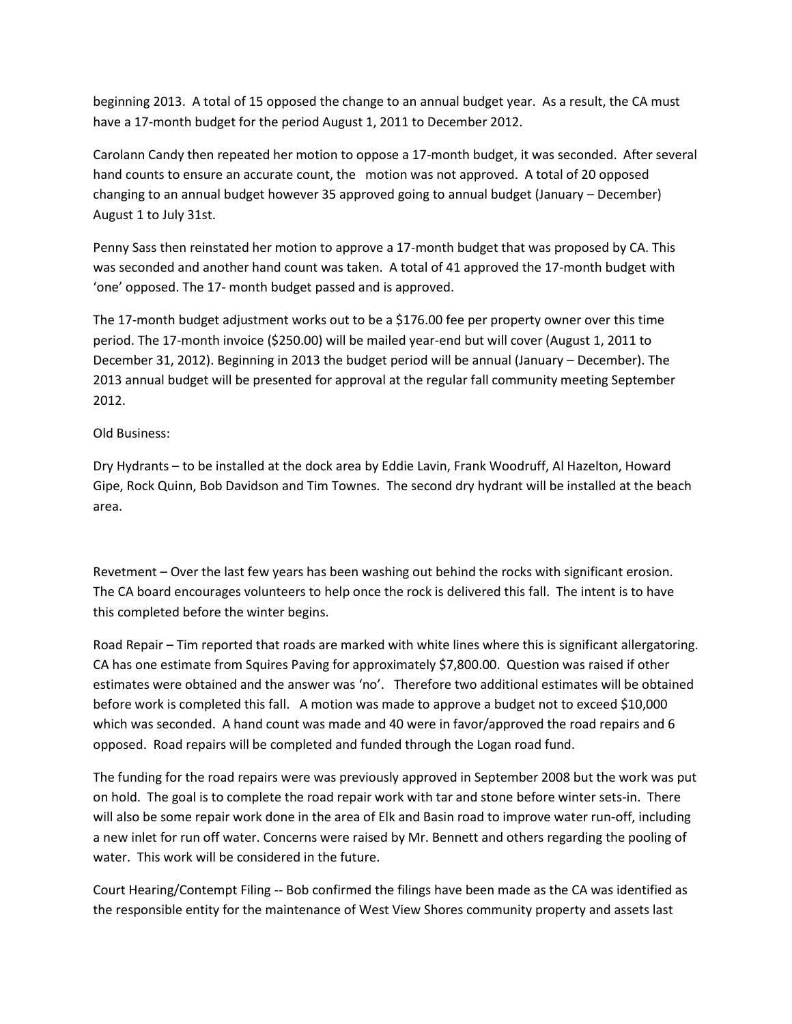beginning 2013. A total of 15 opposed the change to an annual budget year. As a result, the CA must have a 17-month budget for the period August 1, 2011 to December 2012.

Carolann Candy then repeated her motion to oppose a 17-month budget, it was seconded. After several hand counts to ensure an accurate count, the motion was not approved. A total of 20 opposed changing to an annual budget however 35 approved going to annual budget (January – December) August 1 to July 31st.

Penny Sass then reinstated her motion to approve a 17-month budget that was proposed by CA. This was seconded and another hand count was taken. A total of 41 approved the 17-month budget with 'one' opposed. The 17- month budget passed and is approved.

The 17-month budget adjustment works out to be a \$176.00 fee per property owner over this time period. The 17-month invoice (\$250.00) will be mailed year-end but will cover (August 1, 2011 to December 31, 2012). Beginning in 2013 the budget period will be annual (January – December). The 2013 annual budget will be presented for approval at the regular fall community meeting September 2012.

## Old Business:

Dry Hydrants – to be installed at the dock area by Eddie Lavin, Frank Woodruff, Al Hazelton, Howard Gipe, Rock Quinn, Bob Davidson and Tim Townes. The second dry hydrant will be installed at the beach area.

Revetment – Over the last few years has been washing out behind the rocks with significant erosion. The CA board encourages volunteers to help once the rock is delivered this fall. The intent is to have this completed before the winter begins.

Road Repair – Tim reported that roads are marked with white lines where this is significant allergatoring. CA has one estimate from Squires Paving for approximately \$7,800.00. Question was raised if other estimates were obtained and the answer was 'no'. Therefore two additional estimates will be obtained before work is completed this fall. A motion was made to approve a budget not to exceed \$10,000 which was seconded. A hand count was made and 40 were in favor/approved the road repairs and 6 opposed. Road repairs will be completed and funded through the Logan road fund.

The funding for the road repairs were was previously approved in September 2008 but the work was put on hold. The goal is to complete the road repair work with tar and stone before winter sets-in. There will also be some repair work done in the area of Elk and Basin road to improve water run-off, including a new inlet for run off water. Concerns were raised by Mr. Bennett and others regarding the pooling of water. This work will be considered in the future.

Court Hearing/Contempt Filing -- Bob confirmed the filings have been made as the CA was identified as the responsible entity for the maintenance of West View Shores community property and assets last